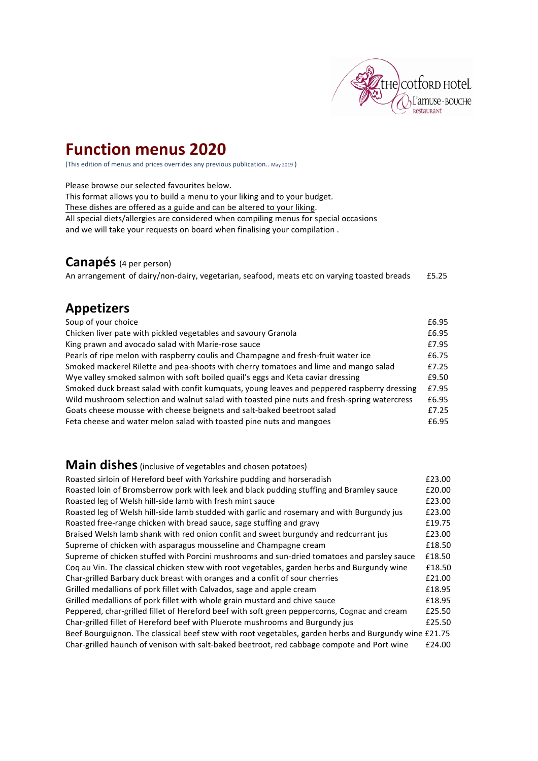

# **Function menus 2020**

(This edition of menus and prices overrides any previous publication.. May 2019)

Please browse our selected favourites below.

This format allows you to build a menu to your liking and to your budget.

These dishes are offered as a guide and can be altered to your liking.

All special diets/allergies are considered when compiling menus for special occasions

and we will take your requests on board when finalising your compilation .

### **Canapés** (4 per person)

An arrangement of dairy/non-dairy, vegetarian, seafood, meats etc on varying toasted breads **E5.25** 

## **Appetizers**

| Soup of your choice                                                                         | £6.95 |
|---------------------------------------------------------------------------------------------|-------|
| Chicken liver pate with pickled vegetables and savoury Granola                              | £6.95 |
| King prawn and avocado salad with Marie-rose sauce                                          | £7.95 |
| Pearls of ripe melon with raspberry coulis and Champagne and fresh-fruit water ice          | £6.75 |
| Smoked mackerel Rilette and pea-shoots with cherry tomatoes and lime and mango salad        | £7.25 |
| Wye valley smoked salmon with soft boiled quail's eggs and Keta caviar dressing             | £9.50 |
| Smoked duck breast salad with confit kumquats, young leaves and peppered raspberry dressing | £7.95 |
| Wild mushroom selection and walnut salad with toasted pine nuts and fresh-spring watercress | £6.95 |
| Goats cheese mousse with cheese beignets and salt-baked beetroot salad                      | £7.25 |
| Feta cheese and water melon salad with toasted pine nuts and mangoes                        | £6.95 |

## **Main dishes** (inclusive of vegetables and chosen potatoes)

| Roasted sirloin of Hereford beef with Yorkshire pudding and horseradish                               | £23.00 |
|-------------------------------------------------------------------------------------------------------|--------|
| Roasted loin of Bromsberrow pork with leek and black pudding stuffing and Bramley sauce               | £20.00 |
| Roasted leg of Welsh hill-side lamb with fresh mint sauce                                             | £23.00 |
| Roasted leg of Welsh hill-side lamb studded with garlic and rosemary and with Burgundy jus            | £23.00 |
| Roasted free-range chicken with bread sauce, sage stuffing and gravy                                  | £19.75 |
| Braised Welsh lamb shank with red onion confit and sweet burgundy and redcurrant jus                  | £23.00 |
| Supreme of chicken with asparagus mousseline and Champagne cream                                      | £18.50 |
| Supreme of chicken stuffed with Porcini mushrooms and sun-dried tomatoes and parsley sauce            | £18.50 |
| Coq au Vin. The classical chicken stew with root vegetables, garden herbs and Burgundy wine           | £18.50 |
| Char-grilled Barbary duck breast with oranges and a confit of sour cherries                           | £21.00 |
| Grilled medallions of pork fillet with Calvados, sage and apple cream                                 | £18.95 |
| Grilled medallions of pork fillet with whole grain mustard and chive sauce                            | £18.95 |
| Peppered, char-grilled fillet of Hereford beef with soft green peppercorns, Cognac and cream          | £25.50 |
| Char-grilled fillet of Hereford beef with Pluerote mushrooms and Burgundy jus                         | £25.50 |
| Beef Bourguignon. The classical beef stew with root vegetables, garden herbs and Burgundy wine £21.75 |        |
| Char-grilled haunch of venison with salt-baked beetroot, red cabbage compote and Port wine            | £24.00 |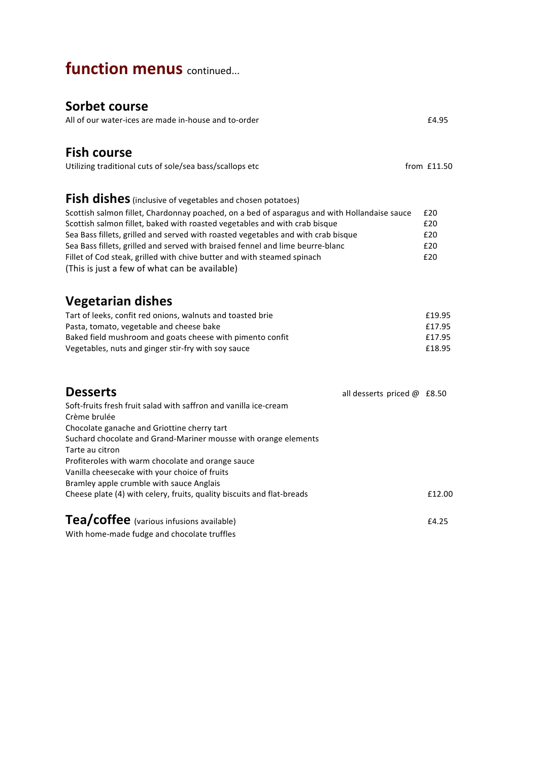# **function menus** continued...

## **Sorbet course**

| JUI NEL LUUI JE<br>All of our water-ices are made in-house and to-order                                                                                                                                                                                                                                                                                                                                                                                                                                                                    | £4.95                                |
|--------------------------------------------------------------------------------------------------------------------------------------------------------------------------------------------------------------------------------------------------------------------------------------------------------------------------------------------------------------------------------------------------------------------------------------------------------------------------------------------------------------------------------------------|--------------------------------------|
| <b>Fish course</b><br>Utilizing traditional cuts of sole/sea bass/scallops etc                                                                                                                                                                                                                                                                                                                                                                                                                                                             | from £11.50                          |
| Fish dishes (inclusive of vegetables and chosen potatoes)<br>Scottish salmon fillet, Chardonnay poached, on a bed of asparagus and with Hollandaise sauce<br>Scottish salmon fillet, baked with roasted vegetables and with crab bisque<br>Sea Bass fillets, grilled and served with roasted vegetables and with crab bisque<br>Sea Bass fillets, grilled and served with braised fennel and lime beurre-blanc<br>Fillet of Cod steak, grilled with chive butter and with steamed spinach<br>(This is just a few of what can be available) | £20<br>£20<br>£20<br>£20<br>£20      |
| <b>Vegetarian dishes</b><br>Tart of leeks, confit red onions, walnuts and toasted brie<br>Pasta, tomato, vegetable and cheese bake<br>Baked field mushroom and goats cheese with pimento confit<br>Vegetables, nuts and ginger stir-fry with soy sauce                                                                                                                                                                                                                                                                                     | £19.95<br>£17.95<br>£17.95<br>£18.95 |
| <b>Desserts</b><br>all desserts priced @ £8.50<br>Soft-fruits fresh fruit salad with saffron and vanilla ice-cream<br>Crème brulée<br>Chocolate ganache and Griottine cherry tart<br>Suchard chocolate and Grand-Mariner mousse with orange elements<br>Tarte au citron<br>Profiteroles with warm chocolate and orange sauce<br>Vanilla cheesecake with your choice of fruits<br>Bramley apple crumble with sauce Anglais<br>Cheese plate (4) with celery, fruits, quality biscuits and flat-breads                                        | £12.00                               |
| Tea/coffee (various infusions available)                                                                                                                                                                                                                                                                                                                                                                                                                                                                                                   | £4.25                                |

With home-made fudge and chocolate truffles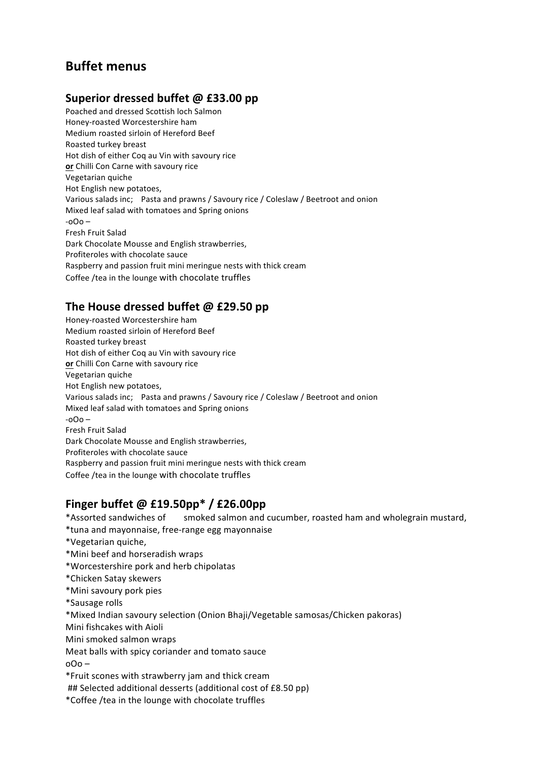## **Buffet menus**

### **Superior dressed buffet @ £33.00 pp**

Poached and dressed Scottish loch Salmon Honey-roasted Worcestershire ham Medium roasted sirloin of Hereford Beef Roasted turkey breast Hot dish of either Coq au Vin with savoury rice or Chilli Con Carne with savoury rice Vegetarian quiche Hot English new potatoes, Various salads inc; Pasta and prawns / Savoury rice / Coleslaw / Beetroot and onion Mixed leaf salad with tomatoes and Spring onions  $-000 -$ Fresh Fruit Salad Dark Chocolate Mousse and English strawberries, Profiteroles with chocolate sauce Raspberry and passion fruit mini meringue nests with thick cream Coffee /tea in the lounge with chocolate truffles

### The House dressed buffet @ £29.50 pp

Honey-roasted Worcestershire ham Medium roasted sirloin of Hereford Beef Roasted turkey breast Hot dish of either Coq au Vin with savoury rice or Chilli Con Carne with savoury rice Vegetarian quiche Hot English new potatoes, Various salads inc; Pasta and prawns / Savoury rice / Coleslaw / Beetroot and onion Mixed leaf salad with tomatoes and Spring onions  $-000-$ Fresh Fruit Salad Dark Chocolate Mousse and English strawberries, Profiteroles with chocolate sauce Raspberry and passion fruit mini meringue nests with thick cream Coffee /tea in the lounge with chocolate truffles

### **Finger buffet @ £19.50pp\* / £26.00pp**

\*Assorted sandwiches of smoked salmon and cucumber, roasted ham and wholegrain mustard,

\*tuna and mayonnaise, free-range egg mayonnaise

\*Vegetarian quiche, 

\*Mini beef and horseradish wraps

\*Worcestershire pork and herb chipolatas

\*Chicken Satay skewers

\*Mini savoury pork pies

\*Sausage rolls

\*Mixed Indian savoury selection (Onion Bhaji/Vegetable samosas/Chicken pakoras)

Mini fishcakes with Aioli

Mini smoked salmon wraps

Meat balls with spicy coriander and tomato sauce

 $000 -$ 

\*Fruit scones with strawberry jam and thick cream 

## Selected additional desserts (additional cost of £8.50 pp)

\*Coffee /tea in the lounge with chocolate truffles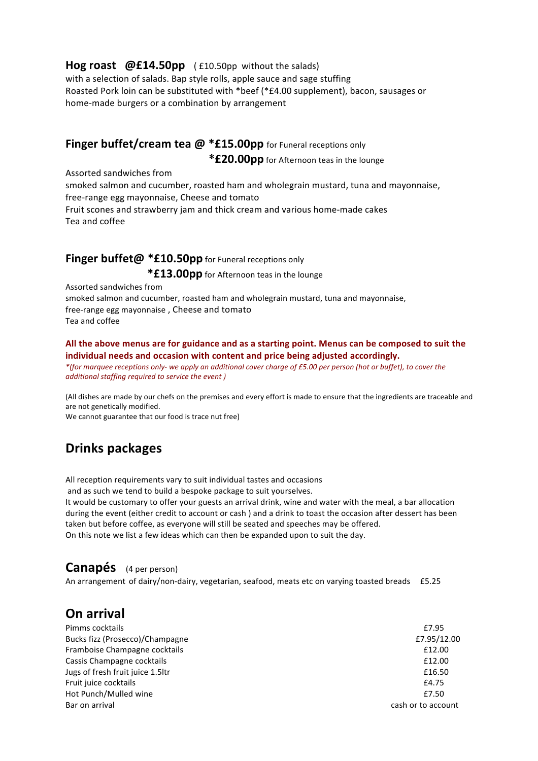#### **Hog roast @£14.50pp** (£10.50pp without the salads)

with a selection of salads. Bap style rolls, apple sauce and sage stuffing Roasted Pork loin can be substituted with \*beef (\*£4.00 supplement), bacon, sausages or home-made burgers or a combination by arrangement

## Finger buffet/cream tea @ \*£15.00pp for Funeral receptions only

\***£20.00pp** for Afternoon teas in the lounge

Assorted sandwiches from

smoked salmon and cucumber, roasted ham and wholegrain mustard, tuna and mayonnaise, free-range egg mayonnaise, Cheese and tomato Fruit scones and strawberry jam and thick cream and various home-made cakes Tea and coffee

#### **Finger buffet@ \*£10.50pp** for Funeral receptions only

\***£13.00pp** for Afternoon teas in the lounge

Assorted sandwiches from smoked salmon and cucumber, roasted ham and wholegrain mustard, tuna and mayonnaise, free-range egg mayonnaise, Cheese and tomato Tea and coffee

#### All the above menus are for guidance and as a starting point. Menus can be composed to suit the individual needs and occasion with content and price being adjusted accordingly.

*\*(for marquee receptions only- we apply an additional cover charge of £5.00 per person (hot or buffet), to cover the additional staffing required to service the event )* 

(All dishes are made by our chefs on the premises and every effort is made to ensure that the ingredients are traceable and are not genetically modified.

We cannot guarantee that our food is trace nut free)

## **Drinks packages**

All reception requirements vary to suit individual tastes and occasions

and as such we tend to build a bespoke package to suit yourselves.

It would be customary to offer your guests an arrival drink, wine and water with the meal, a bar allocation during the event (either credit to account or cash) and a drink to toast the occasion after dessert has been taken but before coffee, as everyone will still be seated and speeches may be offered. On this note we list a few ideas which can then be expanded upon to suit the day.

## **Canapés** (4 per person)

An arrangement of dairy/non-dairy, vegetarian, seafood, meats etc on varying toasted breads £5.25

## **On arrival**

| Pimms cocktails                  | £7.95              |
|----------------------------------|--------------------|
| Bucks fizz (Prosecco)/Champagne  | £7.95/12.00        |
| Framboise Champagne cocktails    | £12.00             |
| Cassis Champagne cocktails       | £12.00             |
| Jugs of fresh fruit juice 1.5ltr | £16.50             |
| Fruit juice cocktails            | £4.75              |
| Hot Punch/Mulled wine            | £7.50              |
| Bar on arrival                   | cash or to account |